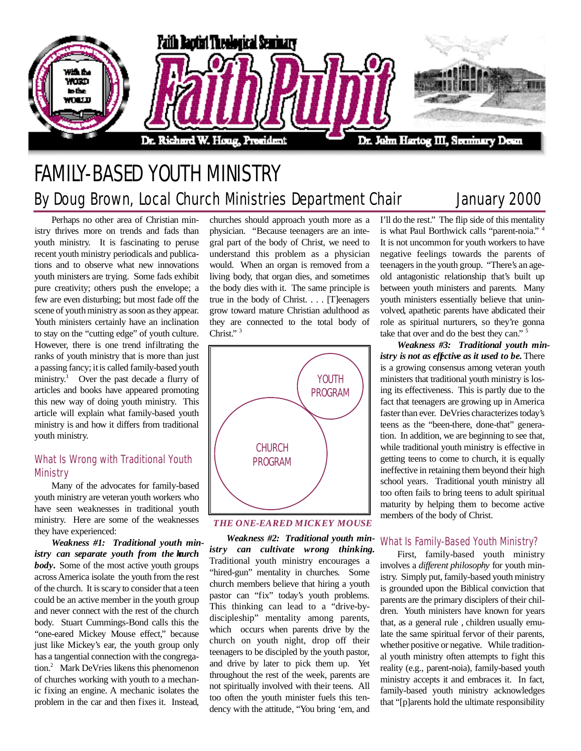

# FAMILY-BASED YOUTH MINISTRY By Doug Brown, Local Church Ministries Department Chair January 2000

Perhaps no other area of Christian ministry thrives more on trends and fads than youth ministry. It is fascinating to peruse recent youth ministry periodicals and publications and to observe what new innovations youth ministers are trying. Some fads exhibit pure creativity; others push the envelope; a few are even disturbing; but most fade off the scene of youth ministry as soon as they appear. Youth ministers certainly have an inclination to stay on the "cutting edge" of youth culture. However, there is one trend infiltrating the ranks of youth ministry that is more than just a passing fancy; it is called family-based youth ministry.<sup>1</sup> Over the past decade a flurry of articles and books have appeared promoting this new way of doing youth ministry. This article will explain what family-based youth ministry is and how it differs from traditional youth ministry.

# What Is Wrong with Traditional Youth **Ministry**

Many of the advocates for family-based youth ministry are veteran youth workers who have seen weaknesses in traditional youth ministry. Here are some of the weaknesses they have experienced:

*Weakness #1: Traditional youth ministry can separate youth from the learch body*. Some of the most active youth groups across America isolate the youth from the rest of the church. It is scary to consider that a teen could be an active member in the youth group and never connect with the rest of the church body. Stuart Cummings-Bond calls this the "one-eared Mickey Mouse effect," because just like Mickey 's ear, the youth group only has a tangential connection with the congregation.<sup>2</sup> Mark DeVries likens this phenomenon of churches working with youth to a mechanic fixing an engine. A mechanic isolates the problem in the car and then fixes it. Instead,

churches should approach youth more as a physician. "Because teenagers are an integral part of the body of Christ, we need to understand this problem as a physician would. When an organ is removed from a living body, that organ dies, and sometimes the body dies with it. The same principle is true in the body of Christ. . . . [T]eenagers grow toward mature Christian adulthood as they are connected to the total body of Christ."<sup>3</sup>



*THE ONE-EARED MICKEY MOUSE*

*Weakness #2: Traditional youth ministry can cultivate wrong thinking.* Traditional youth ministry encourages a "hired-gun" mentality in churches. Some church members believe that hiring a youth pastor can "fix" today's youth problems. This thinking can lead to a "drive-bydiscipleship" mentality among parents, which occurs when parents drive by the church on youth night, drop off their teenagers to be discipled by the youth pastor, and drive by later to pick them up. Yet throughout the rest of the week, parents are not spiritually involved with their teens. All too often the youth minister fuels this tendency with the attitude, "You bring 'em, and

I'll do the rest." The flip side of this mentality is what Paul Borthwick calls "parent-noia." <sup>4</sup> It is not uncommon for youth workers to have negative feelings towards the parents of teenagers in the youth group. "There's an ageold antagonistic relationship that's built up between youth ministers and parents. Many youth ministers essentially believe that uninvolved, apathetic parents have abdicated their role as spiritual nurturers, so they 're gonna take that over and do the best they can." <sup>5</sup>

*Weakness #3: Traditional youth ministry is not as effective as it used to be.* There is a growing consensus among veteran youth ministers that traditional youth ministry is losing its effectiveness. This is partly due to the fact that teenagers are growing up in America faster than ever. DeVries characterizes today's teens as the "been-there, done-that" generation. In addition, we are beginning to see that, while traditional youth ministry is effective in getting teens to come to church, it is equally ineffective in retaining them beyond their high school years. Traditional youth ministry all too often fails to bring teens to adult spiritual maturity by helping them to become active members of the body of Christ.

# What Is Family-Based Youth Ministry?

First, family-based youth ministry involves a *different philosophy* for youth ministry. Simply put, family-based youth ministry is grounded upon the Biblical conviction that parents are the primary disciplers of their children. Youth ministers have known for years that, as a general rule , children usually emulate the same spiritual fervor of their parents, whether positive or negative. While traditional youth ministry often attempts to fight this reality (e.g., parent-noia), family-based youth ministry accepts it and embraces it. In fact, family-based youth ministry acknowledges that "[p]arents hold the ultimate responsibility